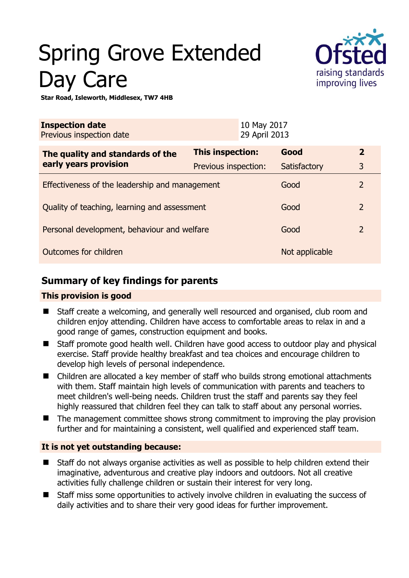# Spring Grove Extended Day Care



**Star Road, Isleworth, Middlesex, TW7 4HB** 

| <b>Inspection date</b><br>Previous inspection date        |                      | 10 May 2017<br>29 April 2013 |                |                |
|-----------------------------------------------------------|----------------------|------------------------------|----------------|----------------|
| The quality and standards of the<br>early years provision | This inspection:     |                              | Good           | $\overline{2}$ |
|                                                           | Previous inspection: |                              | Satisfactory   | 3              |
| Effectiveness of the leadership and management            |                      |                              | Good           | $\overline{2}$ |
| Quality of teaching, learning and assessment              |                      |                              | Good           | $\overline{2}$ |
| Personal development, behaviour and welfare               |                      |                              | Good           | $\overline{2}$ |
| Outcomes for children                                     |                      |                              | Not applicable |                |

# **Summary of key findings for parents**

## **This provision is good**

- Staff create a welcoming, and generally well resourced and organised, club room and children enjoy attending. Children have access to comfortable areas to relax in and a good range of games, construction equipment and books.
- Staff promote good health well. Children have good access to outdoor play and physical exercise. Staff provide healthy breakfast and tea choices and encourage children to develop high levels of personal independence.
- Children are allocated a key member of staff who builds strong emotional attachments with them. Staff maintain high levels of communication with parents and teachers to meet children's well-being needs. Children trust the staff and parents say they feel highly reassured that children feel they can talk to staff about any personal worries.
- The management committee shows strong commitment to improving the play provision further and for maintaining a consistent, well qualified and experienced staff team.

## **It is not yet outstanding because:**

- Staff do not always organise activities as well as possible to help children extend their imaginative, adventurous and creative play indoors and outdoors. Not all creative activities fully challenge children or sustain their interest for very long.
- Staff miss some opportunities to actively involve children in evaluating the success of daily activities and to share their very good ideas for further improvement.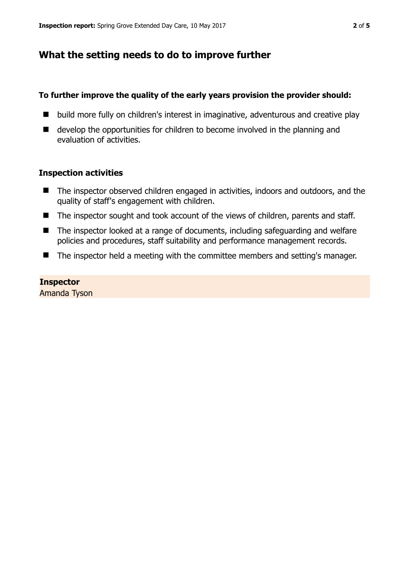# **What the setting needs to do to improve further**

### **To further improve the quality of the early years provision the provider should:**

- build more fully on children's interest in imaginative, adventurous and creative play
- develop the opportunities for children to become involved in the planning and evaluation of activities.

#### **Inspection activities**

- The inspector observed children engaged in activities, indoors and outdoors, and the quality of staff's engagement with children.
- The inspector sought and took account of the views of children, parents and staff.
- The inspector looked at a range of documents, including safeguarding and welfare policies and procedures, staff suitability and performance management records.
- The inspector held a meeting with the committee members and setting's manager.

## **Inspector**

Amanda Tyson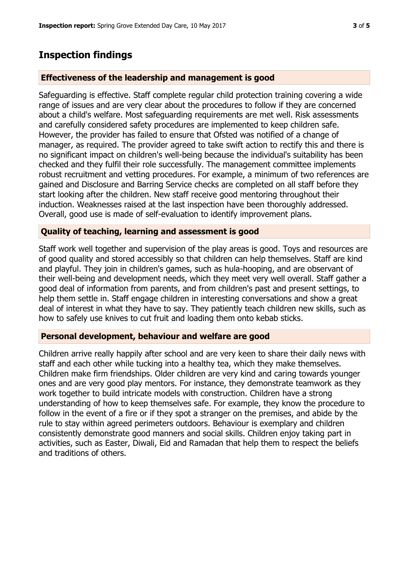# **Inspection findings**

## **Effectiveness of the leadership and management is good**

Safeguarding is effective. Staff complete regular child protection training covering a wide range of issues and are very clear about the procedures to follow if they are concerned about a child's welfare. Most safeguarding requirements are met well. Risk assessments and carefully considered safety procedures are implemented to keep children safe. However, the provider has failed to ensure that Ofsted was notified of a change of manager, as required. The provider agreed to take swift action to rectify this and there is no significant impact on children's well-being because the individual's suitability has been checked and they fulfil their role successfully. The management committee implements robust recruitment and vetting procedures. For example, a minimum of two references are gained and Disclosure and Barring Service checks are completed on all staff before they start looking after the children. New staff receive good mentoring throughout their induction. Weaknesses raised at the last inspection have been thoroughly addressed. Overall, good use is made of self-evaluation to identify improvement plans.

#### **Quality of teaching, learning and assessment is good**

Staff work well together and supervision of the play areas is good. Toys and resources are of good quality and stored accessibly so that children can help themselves. Staff are kind and playful. They join in children's games, such as hula-hooping, and are observant of their well-being and development needs, which they meet very well overall. Staff gather a good deal of information from parents, and from children's past and present settings, to help them settle in. Staff engage children in interesting conversations and show a great deal of interest in what they have to say. They patiently teach children new skills, such as how to safely use knives to cut fruit and loading them onto kebab sticks.

#### **Personal development, behaviour and welfare are good**

Children arrive really happily after school and are very keen to share their daily news with staff and each other while tucking into a healthy tea, which they make themselves. Children make firm friendships. Older children are very kind and caring towards younger ones and are very good play mentors. For instance, they demonstrate teamwork as they work together to build intricate models with construction. Children have a strong understanding of how to keep themselves safe. For example, they know the procedure to follow in the event of a fire or if they spot a stranger on the premises, and abide by the rule to stay within agreed perimeters outdoors. Behaviour is exemplary and children consistently demonstrate good manners and social skills. Children enjoy taking part in activities, such as Easter, Diwali, Eid and Ramadan that help them to respect the beliefs and traditions of others.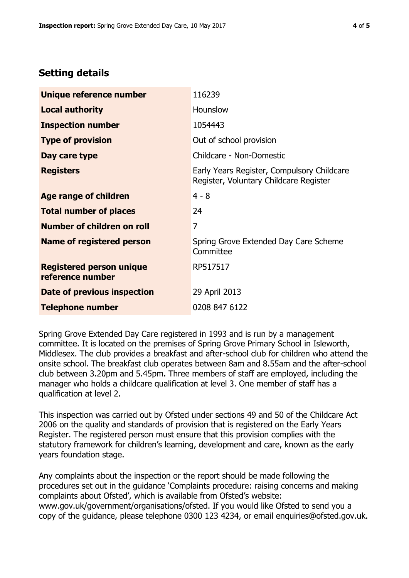# **Setting details**

| Unique reference number                             | 116239                                                                               |  |  |
|-----------------------------------------------------|--------------------------------------------------------------------------------------|--|--|
| <b>Local authority</b>                              | <b>Hounslow</b>                                                                      |  |  |
| <b>Inspection number</b>                            | 1054443                                                                              |  |  |
| <b>Type of provision</b>                            | Out of school provision                                                              |  |  |
| Day care type                                       | Childcare - Non-Domestic                                                             |  |  |
| <b>Registers</b>                                    | Early Years Register, Compulsory Childcare<br>Register, Voluntary Childcare Register |  |  |
| Age range of children                               | $4 - 8$                                                                              |  |  |
| <b>Total number of places</b>                       | 24                                                                                   |  |  |
| Number of children on roll                          | 7                                                                                    |  |  |
| Name of registered person                           | Spring Grove Extended Day Care Scheme<br>Committee                                   |  |  |
| <b>Registered person unique</b><br>reference number | RP517517                                                                             |  |  |
| Date of previous inspection                         | 29 April 2013                                                                        |  |  |
| <b>Telephone number</b>                             | 0208 847 6122                                                                        |  |  |

Spring Grove Extended Day Care registered in 1993 and is run by a management committee. It is located on the premises of Spring Grove Primary School in Isleworth, Middlesex. The club provides a breakfast and after-school club for children who attend the onsite school. The breakfast club operates between 8am and 8.55am and the after-school club between 3.20pm and 5.45pm. Three members of staff are employed, including the manager who holds a childcare qualification at level 3. One member of staff has a qualification at level 2.

This inspection was carried out by Ofsted under sections 49 and 50 of the Childcare Act 2006 on the quality and standards of provision that is registered on the Early Years Register. The registered person must ensure that this provision complies with the statutory framework for children's learning, development and care, known as the early years foundation stage.

Any complaints about the inspection or the report should be made following the procedures set out in the guidance 'Complaints procedure: raising concerns and making complaints about Ofsted', which is available from Ofsted's website: www.gov.uk/government/organisations/ofsted. If you would like Ofsted to send you a copy of the guidance, please telephone 0300 123 4234, or email enquiries@ofsted.gov.uk.